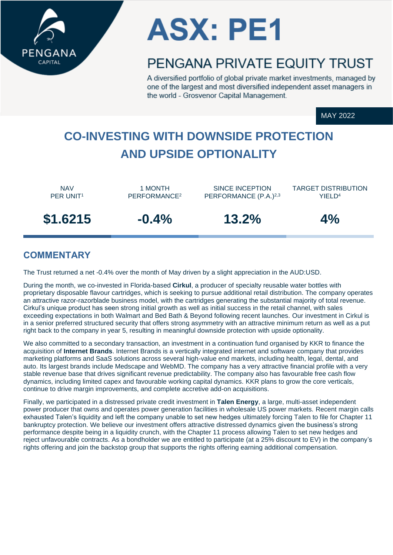



# PENGANA PRIVATE FOUITY TRUST

A diversified portfolio of global private market investments, managed by one of the largest and most diversified independent asset managers in the world - Grosvenor Capital Management.

MAY 2022

# **CO-INVESTING WITH DOWNSIDE PROTECTION AND UPSIDE OPTIONALITY**

NAV PER UNIT<sup>1</sup>

1 MONTH PERFORMANCE<sup>2</sup>

SINCE INCEPTION PERFORMANCE (P.A.)<sup>2,3</sup>

TARGET DISTRIBUTION YIELD<sup>4</sup>

**\$1.6215 -0.4% 13.2% 4%**



## **COMMENTARY**

The Trust returned a net -0.4% over the month of May driven by a slight appreciation in the AUD:USD.

During the month, we co-invested in Florida-based **Cirkul**, a producer of specialty reusable water bottles with proprietary disposable flavour cartridges, which is seeking to pursue additional retail distribution. The company operates an attractive razor-razorblade business model, with the cartridges generating the substantial majority of total revenue. Cirkul's unique product has seen strong initial growth as well as initial success in the retail channel, with sales exceeding expectations in both Walmart and Bed Bath & Beyond following recent launches. Our investment in Cirkul is in a senior preferred structured security that offers strong asymmetry with an attractive minimum return as well as a put right back to the company in year 5, resulting in meaningful downside protection with upside optionality.

We also committed to a secondary transaction, an investment in a continuation fund organised by KKR to finance the acquisition of **Internet Brands**. Internet Brands is a vertically integrated internet and software company that provides marketing platforms and SaaS solutions across several high-value end markets, including health, legal, dental, and auto. Its largest brands include Medscape and WebMD. The company has a very attractive financial profile with a very stable revenue base that drives significant revenue predictability. The company also has favourable free cash flow dynamics, including limited capex and favourable working capital dynamics. KKR plans to grow the core verticals, continue to drive margin improvements, and complete accretive add-on acquisitions.

Finally, we participated in a distressed private credit investment in **Talen Energy**, a large, multi-asset independent power producer that owns and operates power generation facilities in wholesale US power markets. Recent margin calls exhausted Talen's liquidity and left the company unable to set new hedges ultimately forcing Talen to file for Chapter 11 bankruptcy protection. We believe our investment offers attractive distressed dynamics given the business's strong performance despite being in a liquidity crunch, with the Chapter 11 process allowing Talen to set new hedges and reject unfavourable contracts. As a bondholder we are entitled to participate (at a 25% discount to EV) in the company's rights offering and join the backstop group that supports the rights offering earning additional compensation.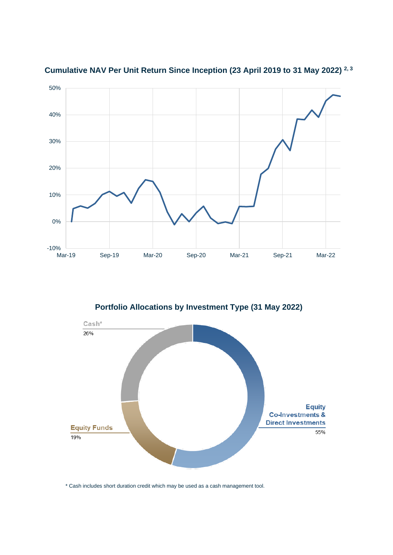

**Cumulative NAV Per Unit Return Since Inception (23 April 2019 to 31 May 2022) 2, 3**

**Portfolio Allocations by Investment Type (31 May 2022)**



\* Cash includes short duration credit which may be used as a cash management tool.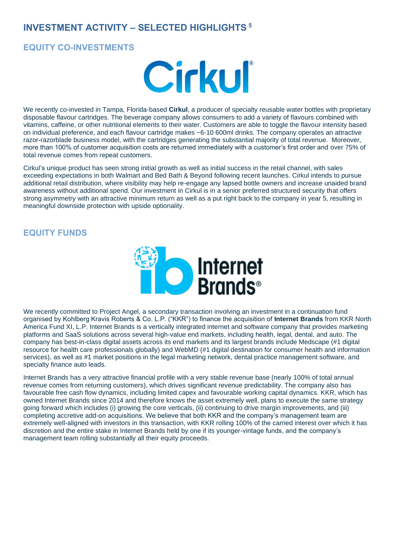## **INVESTMENT ACTIVITY – SELECTED HIGHLIGHTS <sup>5</sup>**

#### **EQUITY CO-INVESTMENTS**



We recently co-invested in Tampa, Florida-based **Cirkul**, a producer of specialty reusable water bottles with proprietary disposable flavour cartridges. The beverage company allows consumers to add a variety of flavours combined with vitamins, caffeine, or other nutritional elements to their water. Customers are able to toggle the flavour intensity based on individual preference, and each flavour cartridge makes ~6-10 600ml drinks. The company operates an attractive razor-razorblade business model, with the cartridges generating the substantial majority of total revenue. Moreover, more than 100% of customer acquisition costs are returned immediately with a customer's first order and over 75% of total revenue comes from repeat customers.

Cirkul's unique product has seen strong initial growth as well as initial success in the retail channel, with sales exceeding expectations in both Walmart and Bed Bath & Beyond following recent launches. Cirkul intends to pursue additional retail distribution, where visibility may help re-engage any lapsed bottle owners and increase unaided brand awareness without additional spend. Our investment in Cirkul is in a senior preferred structured security that offers strong asymmetry with an attractive minimum return as well as a put right back to the company in year 5, resulting in meaningful downside protection with upside optionality.

### **EQUITY FUNDS**



We recently committed to Project Angel, a secondary transaction involving an investment in a continuation fund organised by Kohlberg Kravis Roberts & Co. L.P. ("KKR") to finance the acquisition of **Internet Brands** from KKR North America Fund XI, L.P. Internet Brands is a vertically integrated internet and software company that provides marketing platforms and SaaS solutions across several high-value end markets, including health, legal, dental, and auto. The company has best-in-class digital assets across its end markets and its largest brands include Medscape (#1 digital resource for health care professionals globally) and WebMD (#1 digital destination for consumer health and information services), as well as #1 market positions in the legal marketing network, dental practice management software, and specialty finance auto leads.

Internet Brands has a very attractive financial profile with a very stable revenue base (nearly 100% of total annual revenue comes from returning customers), which drives significant revenue predictability. The company also has favourable free cash flow dynamics, including limited capex and favourable working capital dynamics. KKR, which has owned Internet Brands since 2014 and therefore knows the asset extremely well, plans to execute the same strategy going forward which includes (i) growing the core verticals, (ii) continuing to drive margin improvements, and (iii) completing accretive add-on acquisitions. We believe that both KKR and the company's management team are extremely well-aligned with investors in this transaction, with KKR rolling 100% of the carried interest over which it has discretion and the entire stake in Internet Brands held by one if its younger-vintage funds, and the company's management team rolling substantially all their equity proceeds.